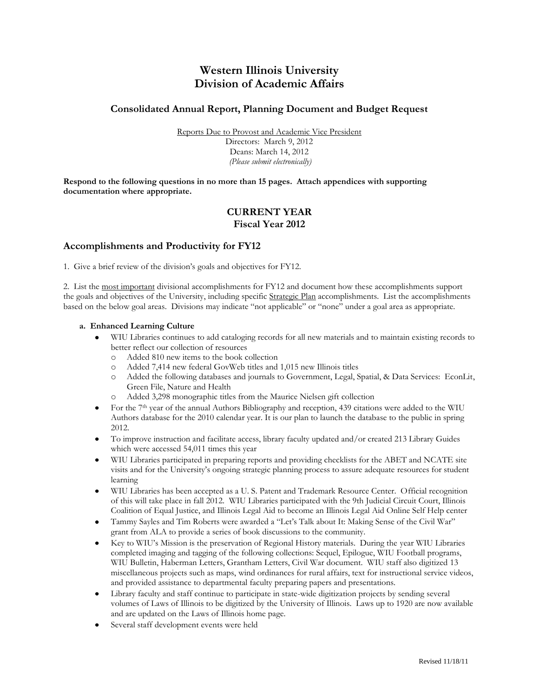# **Western Illinois University Division of Academic Affairs**

## **Consolidated Annual Report, Planning Document and Budget Request**

Reports Due to Provost and Academic Vice President Directors: March 9, 2012 Deans: March 14, 2012 *(Please submit electronically)*

**Respond to the following questions in no more than 15 pages. Attach appendices with supporting documentation where appropriate.** 

## **CURRENT YEAR Fiscal Year 2012**

## **Accomplishments and Productivity for FY12**

1. Give a brief review of the division's goals and objectives for FY12.

2. List the most important divisional accomplishments for FY12 and document how these accomplishments support the goals and objectives of the University, including specific Strategic Plan accomplishments. List the accomplishments based on the below goal areas. Divisions may indicate "not applicable" or "none" under a goal area as appropriate.

#### **a. Enhanced Learning Culture**

- WIU Libraries continues to add cataloging records for all new materials and to maintain existing records to  $\bullet$ better reflect our collection of resources
	- o Added 810 new items to the book collection
	- o Added 7,414 new federal GovWeb titles and 1,015 new Illinois titles
	- o Added the following databases and journals to Government, Legal, Spatial, & Data Services: EconLit, Green File, Nature and Health
	- o Added 3,298 monographic titles from the Maurice Nielsen gift collection
- For the 7<sup>th</sup> year of the annual Authors Bibliography and reception, 439 citations were added to the WIU  $\bullet$ Authors database for the 2010 calendar year. It is our plan to launch the database to the public in spring 2012.
- To improve instruction and facilitate access, library faculty updated and/or created 213 Library Guides which were accessed 54,011 times this year
- WIU Libraries participated in preparing reports and providing checklists for the ABET and NCATE site  $\bullet$ visits and for the University's ongoing strategic planning process to assure adequate resources for student learning
- WIU Libraries has been accepted as a U. S. Patent and Trademark Resource Center. Official recognition  $\bullet$ of this will take place in fall 2012. WIU Libraries participated with the 9th Judicial Circuit Court, Illinois Coalition of Equal Justice, and Illinois Legal Aid to become an Illinois Legal Aid Online Self Help center
- Tammy Sayles and Tim Roberts were awarded a "Let's Talk about It: Making Sense of the Civil War" grant from ALA to provide a series of book discussions to the community.
- Key to WIU's Mission is the preservation of Regional History materials. During the year WIU Libraries completed imaging and tagging of the following collections: Sequel, Epilogue, WIU Football programs, WIU Bulletin, Haberman Letters, Grantham Letters, Civil War document. WIU staff also digitized 13 miscellaneous projects such as maps, wind ordinances for rural affairs, text for instructional service videos, and provided assistance to departmental faculty preparing papers and presentations.
- Library faculty and staff continue to participate in state-wide digitization projects by sending several  $\bullet$ volumes of Laws of Illinois to be digitized by the University of Illinois. Laws up to 1920 are now available and are updated on the Laws of Illinois home page.
- Several staff development events were held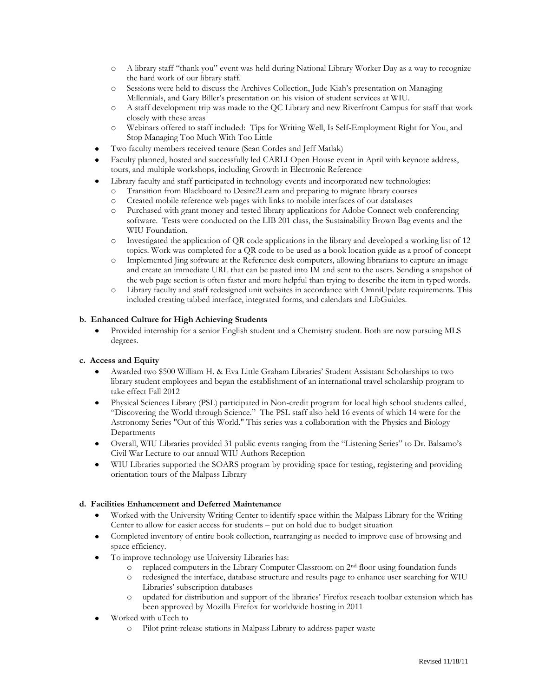- o A library staff "thank you" event was held during National Library Worker Day as a way to recognize the hard work of our library staff.
- o Sessions were held to discuss the Archives Collection, Jude Kiah's presentation on Managing Millennials, and Gary Biller's presentation on his vision of student services at WIU.
- o A staff development trip was made to the QC Library and new Riverfront Campus for staff that work closely with these areas
- o Webinars offered to staff included: Tips for Writing Well, Is Self-Employment Right for You, and Stop Managing Too Much With Too Little
- Two faculty members received tenure (Sean Cordes and Jeff Matlak)
- Faculty planned, hosted and successfully led CARLI Open House event in April with keynote address, tours, and multiple workshops, including Growth in Electronic Reference
- Library faculty and staff participated in technology events and incorporated new technologies:
	- o Transition from Blackboard to Desire2Learn and preparing to migrate library courses
	- o Created mobile reference web pages with links to mobile interfaces of our databases
	- o Purchased with grant money and tested library applications for Adobe Connect web conferencing software. Tests were conducted on the LIB 201 class, the Sustainability Brown Bag events and the WIU Foundation.
	- o Investigated the application of QR code applications in the library and developed a working list of 12 topics. Work was completed for a QR code to be used as a book location guide as a proof of concept
	- o Implemented Jing software at the Reference desk computers, allowing librarians to capture an image and create an immediate URL that can be pasted into IM and sent to the users. Sending a snapshot of the web page section is often faster and more helpful than trying to describe the item in typed words.
	- o Library faculty and staff redesigned unit websites in accordance with OmniUpdate requirements. This included creating tabbed interface, integrated forms, and calendars and LibGuides.

#### **b. Enhanced Culture for High Achieving Students**

Provided internship for a senior English student and a Chemistry student. Both are now pursuing MLS  $\bullet$ degrees.

#### **c. Access and Equity**

- Awarded two \$500 William H. & Eva Little Graham Libraries' Student Assistant Scholarships to two library student employees and began the establishment of an international travel scholarship program to take effect Fall 2012
- Physical Sciences Library (PSL) participated in Non-credit program for local high school students called,  $\bullet$ "Discovering the World through Science." The PSL staff also held 16 events of which 14 were for the Astronomy Series "Out of this World." This series was a collaboration with the Physics and Biology Departments
- Overall, WIU Libraries provided 31 public events ranging from the "Listening Series" to Dr. Balsamo's  $\bullet$ Civil War Lecture to our annual WIU Authors Reception
- $\bullet$ WIU Libraries supported the SOARS program by providing space for testing, registering and providing orientation tours of the Malpass Library

### **d. Facilities Enhancement and Deferred Maintenance**

- Worked with the University Writing Center to identify space within the Malpass Library for the Writing Center to allow for easier access for students – put on hold due to budget situation
- Completed inventory of entire book collection, rearranging as needed to improve ease of browsing and  $\bullet$ space efficiency.
- To improve technology use University Libraries has:
	- o replaced computers in the Library Computer Classroom on 2nd floor using foundation funds
	- o redesigned the interface, database structure and results page to enhance user searching for WIU Libraries' subscription databases
	- o updated for distribution and support of the libraries' Firefox reseach toolbar extension which has been approved by Mozilla Firefox for worldwide hosting in 2011
- Worked with uTech to
	- o Pilot print-release stations in Malpass Library to address paper waste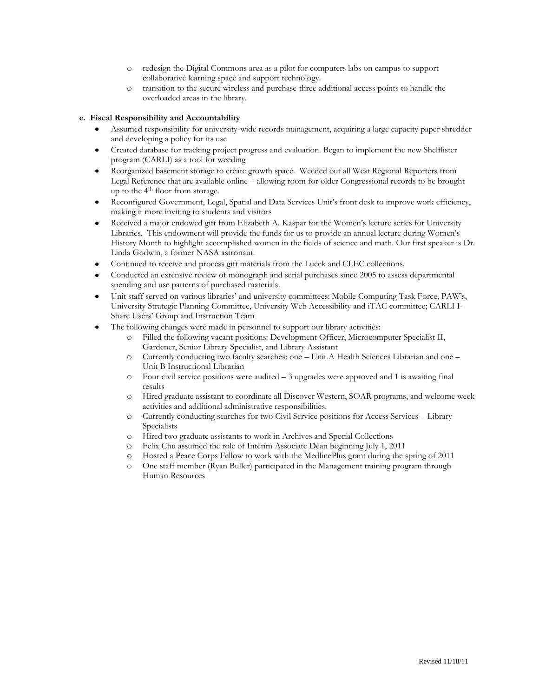- o redesign the Digital Commons area as a pilot for computers labs on campus to support collaborative learning space and support technology.
- o transition to the secure wireless and purchase three additional access points to handle the overloaded areas in the library.

### **e. Fiscal Responsibility and Accountability**

- Assumed responsibility for university-wide records management, acquiring a large capacity paper shredder and developing a policy for its use
- Created database for tracking project progress and evaluation. Began to implement the new Shelflister  $\bullet$ program (CARLI) as a tool for weeding
- Reorganized basement storage to create growth space. Weeded out all West Regional Reporters from  $\bullet$ Legal Reference that are available online – allowing room for older Congressional records to be brought up to the 4th floor from storage.
- Reconfigured Government, Legal, Spatial and Data Services Unit's front desk to improve work efficiency,  $\bullet$ making it more inviting to students and visitors
- Received a major endowed gift from Elizabeth A. Kaspar for the Women's lecture series for University  $\bullet$ Libraries. This endowment will provide the funds for us to provide an annual lecture during Women's History Month to highlight accomplished women in the fields of science and math. Our first speaker is Dr. Linda Godwin, a former NASA astronaut.
- Continued to receive and process gift materials from the Lueck and CLEC collections.  $\bullet$
- Conducted an extensive review of monograph and serial purchases since 2005 to assess departmental spending and use patterns of purchased materials.
- Unit staff served on various libraries' and university committees: Mobile Computing Task Force, PAW's, University Strategic Planning Committee, University Web Accessibility and iTAC committee; CARLI I-Share Users' Group and Instruction Team
- The following changes were made in personnel to support our library activities:
	- o Filled the following vacant positions: Development Officer, Microcomputer Specialist II, Gardener, Senior Library Specialist, and Library Assistant
	- o Currently conducting two faculty searches: one Unit A Health Sciences Librarian and one Unit B Instructional Librarian
	- o Four civil service positions were audited 3 upgrades were approved and 1 is awaiting final results
	- o Hired graduate assistant to coordinate all Discover Western, SOAR programs, and welcome week activities and additional administrative responsibilities.
	- o Currently conducting searches for two Civil Service positions for Access Services Library Specialists
	- o Hired two graduate assistants to work in Archives and Special Collections
	- o Felix Chu assumed the role of Interim Associate Dean beginning July 1, 2011
	- o Hosted a Peace Corps Fellow to work with the MedlinePlus grant during the spring of 2011
	- o One staff member (Ryan Buller) participated in the Management training program through Human Resources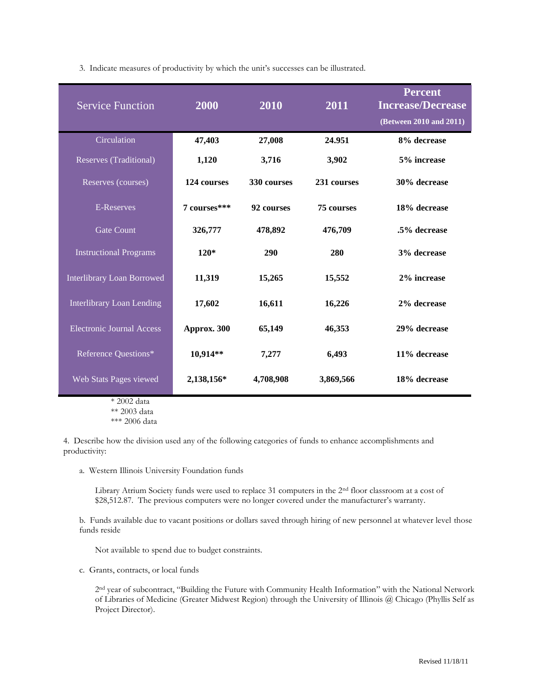3. Indicate measures of productivity by which the unit's successes can be illustrated.

| <b>Service Function</b>           | 2000         | 2010        | 2011              | <b>Percent</b><br><b>Increase/Decrease</b><br>(Between 2010 and 2011) |
|-----------------------------------|--------------|-------------|-------------------|-----------------------------------------------------------------------|
| Circulation                       | 47,403       | 27,008      | 24.951            | 8% decrease                                                           |
| Reserves (Traditional)            | 1,120        | 3,716       | 3,902             | 5% increase                                                           |
| Reserves (courses)                | 124 courses  | 330 courses | 231 courses       | 30% decrease                                                          |
| <b>E-Reserves</b>                 | 7 courses*** | 92 courses  | <b>75 courses</b> | 18% decrease                                                          |
| <b>Gate Count</b>                 | 326,777      | 478,892     | 476,709           | .5% decrease                                                          |
| <b>Instructional Programs</b>     | $120*$       | 290         | 280               | 3% decrease                                                           |
| <b>Interlibrary Loan Borrowed</b> | 11,319       | 15,265      | 15,552            | 2% increase                                                           |
| <b>Interlibrary Loan Lending</b>  | 17,602       | 16,611      | 16,226            | 2% decrease                                                           |
| <b>Electronic Journal Access</b>  | Approx. 300  | 65,149      | 46,353            | 29% decrease                                                          |
| Reference Questions*              | 10,914**     | 7,277       | 6,493             | 11% decrease                                                          |
| Web Stats Pages viewed            | 2,138,156*   | 4,708,908   | 3,869,566         | 18% decrease                                                          |

\* 2002 data

\*\* 2003 data

\*\*\* 2006 data

4. Describe how the division used any of the following categories of funds to enhance accomplishments and productivity:

a. Western Illinois University Foundation funds

Library Atrium Society funds were used to replace 31 computers in the 2<sup>nd</sup> floor classroom at a cost of \$28,512.87. The previous computers were no longer covered under the manufacturer's warranty.

b. Funds available due to vacant positions or dollars saved through hiring of new personnel at whatever level those funds reside

Not available to spend due to budget constraints.

c. Grants, contracts, or local funds

2<sup>nd</sup> year of subcontract, "Building the Future with Community Health Information" with the National Network of Libraries of Medicine (Greater Midwest Region) through the University of Illinois @ Chicago (Phyllis Self as Project Director).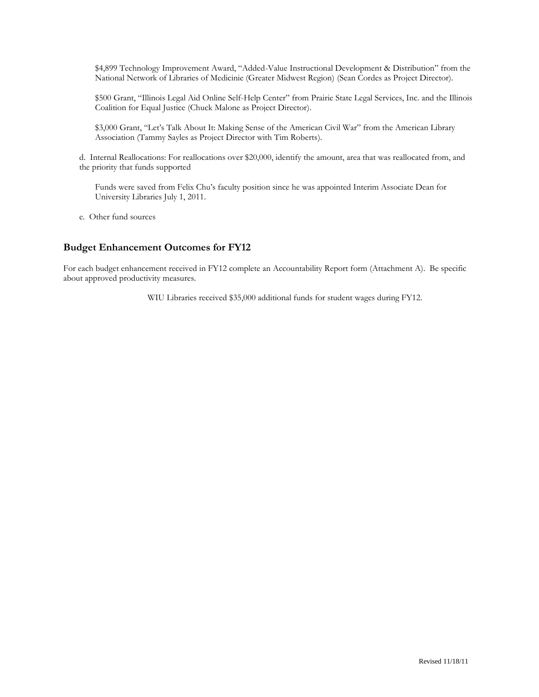\$4,899 Technology Improvement Award, "Added-Value Instructional Development & Distribution" from the National Network of Libraries of Medicinie (Greater Midwest Region) (Sean Cordes as Project Director).

\$500 Grant, "Illinois Legal Aid Online Self-Help Center" from Prairie State Legal Services, Inc. and the Illinois Coalition for Equal Justice (Chuck Malone as Project Director).

\$3,000 Grant, "Let's Talk About It: Making Sense of the American Civil War" from the American Library Association (Tammy Sayles as Project Director with Tim Roberts).

d. Internal Reallocations: For reallocations over \$20,000, identify the amount, area that was reallocated from, and the priority that funds supported

Funds were saved from Felix Chu's faculty position since he was appointed Interim Associate Dean for University Libraries July 1, 2011.

e. Other fund sources

## **Budget Enhancement Outcomes for FY12**

For each budget enhancement received in FY12 complete an Accountability Report form (Attachment A). Be specific about approved productivity measures.

WIU Libraries received \$35,000 additional funds for student wages during FY12.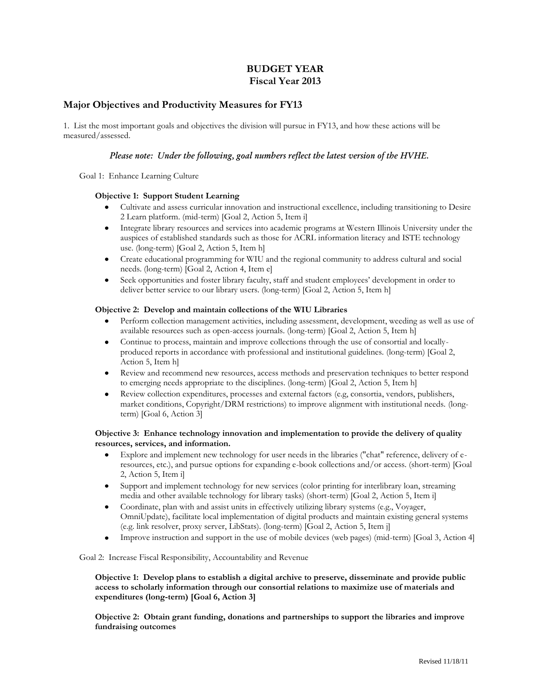## **BUDGET YEAR Fiscal Year 2013**

## **Major Objectives and Productivity Measures for FY13**

1. List the most important goals and objectives the division will pursue in FY13, and how these actions will be measured/assessed.

#### *Please note: Under the following, goal numbers reflect the latest version of the HVHE.*

Goal 1: Enhance Learning Culture

#### **Objective 1: Support Student Learning**

- $\bullet$ Cultivate and assess curricular innovation and instructional excellence, including transitioning to Desire 2 Learn platform. (mid-term) [Goal 2, Action 5, Item i]
- Integrate library resources and services into academic programs at Western Illinois University under the  $\bullet$ auspices of established standards such as those for ACRL information literacy and ISTE technology use. (long-term) [Goal 2, Action 5, Item h]
- Create educational programming for WIU and the regional community to address cultural and social needs. (long-term) [Goal 2, Action 4, Item e]
- Seek opportunities and foster library faculty, staff and student employees' development in order to  $\bullet$ deliver better service to our library users. (long-term) [Goal 2, Action 5, Item h]

#### **Objective 2: Develop and maintain collections of the WIU Libraries**

- Perform collection management activities, including assessment, development, weeding as well as use of available resources such as open-access journals. (long-term) [Goal 2, Action 5, Item h]
- Continue to process, maintain and improve collections through the use of consortial and locallyproduced reports in accordance with professional and institutional guidelines. (long-term) [Goal 2, Action 5, Item h]
- Review and recommend new resources, access methods and preservation techniques to better respond to emerging needs appropriate to the disciplines. (long-term) [Goal 2, Action 5, Item h]
- Review collection expenditures, processes and external factors (e.g, consortia, vendors, publishers,  $\bullet$ market conditions, Copyright/DRM restrictions) to improve alignment with institutional needs. (longterm) [Goal 6, Action 3]

#### **Objective 3: Enhance technology innovation and implementation to provide the delivery of quality resources, services, and information.**

- Explore and implement new technology for user needs in the libraries ("chat" reference, delivery of eresources, etc.), and pursue options for expanding e-book collections and/or access. (short-term) [Goal 2, Action 5, Item i]
- Support and implement technology for new services (color printing for interlibrary loan, streaming media and other available technology for library tasks) (short-term) [Goal 2, Action 5, Item i]
- Coordinate, plan with and assist units in effectively utilizing library systems (e.g., Voyager,  $\bullet$ OmniUpdate), facilitate local implementation of digital products and maintain existing general systems (e.g. link resolver, proxy server, LibStats). (long-term) [Goal 2, Action 5, Item j]
- Improve instruction and support in the use of mobile devices (web pages) (mid-term) [Goal 3, Action 4]  $\bullet$

Goal 2: Increase Fiscal Responsibility, Accountability and Revenue

**Objective 1: Develop plans to establish a digital archive to preserve, disseminate and provide public access to scholarly information through our consortial relations to maximize use of materials and expenditures (long-term) [Goal 6, Action 3]**

**Objective 2: Obtain grant funding, donations and partnerships to support the libraries and improve fundraising outcomes**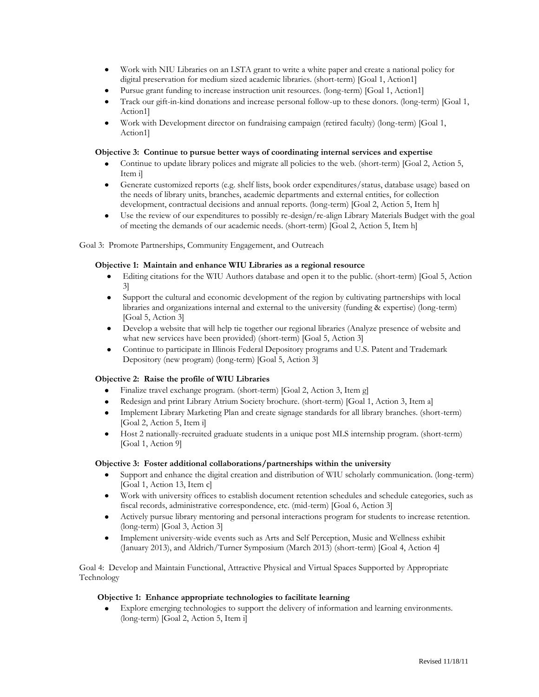- Work with NIU Libraries on an LSTA grant to write a white paper and create a national policy for digital preservation for medium sized academic libraries. (short-term) [Goal 1, Action1]
- Pursue grant funding to increase instruction unit resources. (long-term) [Goal 1, Action1]
- Track our gift-in-kind donations and increase personal follow-up to these donors. (long-term) [Goal 1, Action1]
- Work with Development director on fundraising campaign (retired faculty) (long-term) [Goal 1, Action1]

#### **Objective 3: Continue to pursue better ways of coordinating internal services and expertise**

- Continue to update library polices and migrate all policies to the web. (short-term) [Goal 2, Action 5, Item i]
- Generate customized reports (e.g. shelf lists, book order expenditures/status, database usage) based on  $\bullet$ the needs of library units, branches, academic departments and external entities, for collection development, contractual decisions and annual reports. (long-term) [Goal 2, Action 5, Item h]
- Use the review of our expenditures to possibly re-design/re-align Library Materials Budget with the goal  $\bullet$ of meeting the demands of our academic needs. (short-term) [Goal 2, Action 5, Item h]

Goal 3: Promote Partnerships, Community Engagement, and Outreach

#### **Objective 1: Maintain and enhance WIU Libraries as a regional resource**

- Editing citations for the WIU Authors database and open it to the public. (short-term) [Goal 5, Action  $\bullet$ 3]
- Support the cultural and economic development of the region by cultivating partnerships with local libraries and organizations internal and external to the university (funding & expertise) (long-term) [Goal 5, Action 3]
- Develop a website that will help tie together our regional libraries (Analyze presence of website and what new services have been provided) (short-term) [Goal 5, Action 3]
- Continue to participate in Illinois Federal Depository programs and U.S. Patent and Trademark Depository (new program) (long-term) [Goal 5, Action 3]

#### **Objective 2: Raise the profile of WIU Libraries**

- Finalize travel exchange program. (short-term) [Goal 2, Action 3, Item g]
- Redesign and print Library Atrium Society brochure. (short-term) [Goal 1, Action 3, Item a]
- Implement Library Marketing Plan and create signage standards for all library branches. (short-term)  $\bullet$ [Goal 2, Action 5, Item i]
- Host 2 nationally-recruited graduate students in a unique post MLS internship program. (short-term)  $\bullet$ [Goal 1, Action 9]

#### **Objective 3: Foster additional collaborations/partnerships within the university**

- Support and enhance the digital creation and distribution of WIU scholarly communication. (long-term) [Goal 1, Action 13, Item c]
- Work with university offices to establish document retention schedules and schedule categories, such as fiscal records, administrative correspondence, etc. (mid-term) [Goal 6, Action 3]
- Actively pursue library mentoring and personal interactions program for students to increase retention. (long-term) [Goal 3, Action 3]
- Implement university-wide events such as Arts and Self Perception, Music and Wellness exhibit  $\bullet$ (January 2013), and Aldrich/Turner Symposium (March 2013) (short-term) [Goal 4, Action 4]

Goal 4: Develop and Maintain Functional, Attractive Physical and Virtual Spaces Supported by Appropriate Technology

#### **Objective 1: Enhance appropriate technologies to facilitate learning**

Explore emerging technologies to support the delivery of information and learning environments. (long-term) [Goal 2, Action 5, Item i]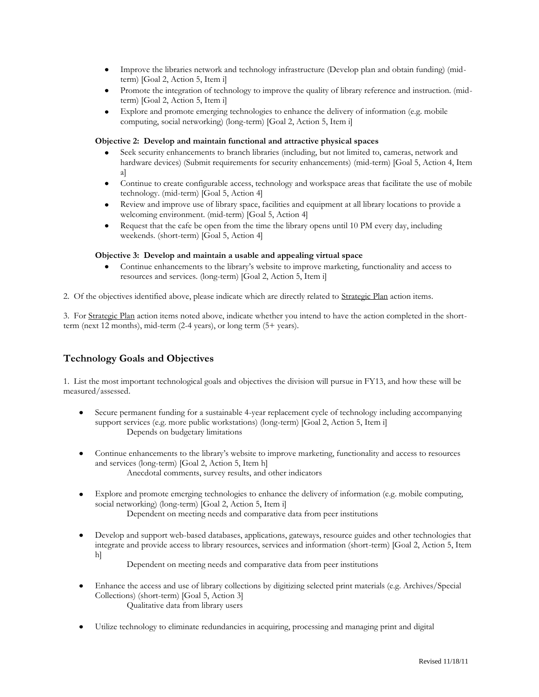- Improve the libraries network and technology infrastructure (Develop plan and obtain funding) (mid- $\bullet$ term) [Goal 2, Action 5, Item i]
- Promote the integration of technology to improve the quality of library reference and instruction. (midterm) [Goal 2, Action 5, Item i]
- Explore and promote emerging technologies to enhance the delivery of information (e.g. mobile  $\bullet$ computing, social networking) (long-term) [Goal 2, Action 5, Item i]

#### **Objective 2: Develop and maintain functional and attractive physical spaces**

- Seek security enhancements to branch libraries (including, but not limited to, cameras, network and hardware devices) (Submit requirements for security enhancements) (mid-term) [Goal 5, Action 4, Item a]
- Continue to create configurable access, technology and workspace areas that facilitate the use of mobile technology. (mid-term) [Goal 5, Action 4]
- Review and improve use of library space, facilities and equipment at all library locations to provide a welcoming environment. (mid-term) [Goal 5, Action 4]
- Request that the cafe be open from the time the library opens until 10 PM every day, including weekends. (short-term) [Goal 5, Action 4]

#### **Objective 3: Develop and maintain a usable and appealing virtual space**

- Continue enhancements to the library's website to improve marketing, functionality and access to resources and services. (long-term) [Goal 2, Action 5, Item i]
- 2. Of the objectives identified above, please indicate which are directly related to Strategic Plan action items.

3. For Strategic Plan action items noted above, indicate whether you intend to have the action completed in the shortterm (next 12 months), mid-term (2-4 years), or long term (5+ years).

## **Technology Goals and Objectives**

1.List the most important technological goals and objectives the division will pursue in FY13, and how these will be measured/assessed.

- Secure permanent funding for a sustainable 4-year replacement cycle of technology including accompanying support services (e.g. more public workstations) (long-term) [Goal 2, Action 5, Item i] Depends on budgetary limitations
- Continue enhancements to the library's website to improve marketing, functionality and access to resources  $\bullet$ and services (long-term) [Goal 2, Action 5, Item h] Anecdotal comments, survey results, and other indicators
- Explore and promote emerging technologies to enhance the delivery of information (e.g. mobile computing, social networking) (long-term) [Goal 2, Action 5, Item i] Dependent on meeting needs and comparative data from peer institutions
- Develop and support web-based databases, applications, gateways, resource guides and other technologies that integrate and provide access to library resources, services and information (short-term) [Goal 2, Action 5, Item h]

Dependent on meeting needs and comparative data from peer institutions

- Enhance the access and use of library collections by digitizing selected print materials (e.g. Archives/Special  $\bullet$ Collections) (short-term) [Goal 5, Action 3] Qualitative data from library users
- Utilize technology to eliminate redundancies in acquiring, processing and managing print and digital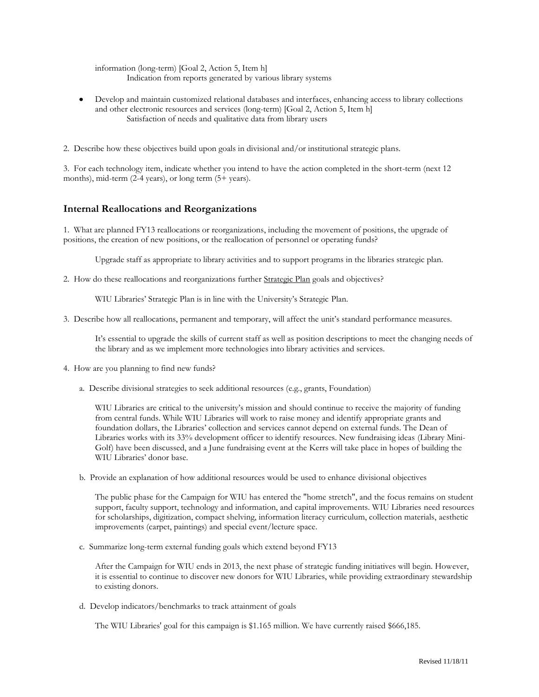information (long-term) [Goal 2, Action 5, Item h] Indication from reports generated by various library systems

- Develop and maintain customized relational databases and interfaces, enhancing access to library collections and other electronic resources and services (long-term) [Goal 2, Action 5, Item h] Satisfaction of needs and qualitative data from library users
- 2. Describe how these objectives build upon goals in divisional and/or institutional strategic plans.

3. For each technology item, indicate whether you intend to have the action completed in the short-term (next 12 months), mid-term (2-4 years), or long term (5+ years).

### **Internal Reallocations and Reorganizations**

1. What are planned FY13 reallocations or reorganizations, including the movement of positions, the upgrade of positions, the creation of new positions, or the reallocation of personnel or operating funds?

Upgrade staff as appropriate to library activities and to support programs in the libraries strategic plan.

2. How do these reallocations and reorganizations further Strategic Plan goals and objectives?

WIU Libraries' Strategic Plan is in line with the University's Strategic Plan.

3. Describe how all reallocations, permanent and temporary, will affect the unit's standard performance measures.

It's essential to upgrade the skills of current staff as well as position descriptions to meet the changing needs of the library and as we implement more technologies into library activities and services.

- 4. How are you planning to find new funds?
	- a. Describe divisional strategies to seek additional resources (e.g., grants, Foundation)

WIU Libraries are critical to the university's mission and should continue to receive the majority of funding from central funds. While WIU Libraries will work to raise money and identify appropriate grants and foundation dollars, the Libraries' collection and services cannot depend on external funds. The Dean of Libraries works with its 33% development officer to identify resources. New fundraising ideas (Library Mini-Golf) have been discussed, and a June fundraising event at the Kerrs will take place in hopes of building the WIU Libraries' donor base.

b. Provide an explanation of how additional resources would be used to enhance divisional objectives

The public phase for the Campaign for WIU has entered the "home stretch", and the focus remains on student support, faculty support, technology and information, and capital improvements. WIU Libraries need resources for scholarships, digitization, compact shelving, information literacy curriculum, collection materials, aesthetic improvements (carpet, paintings) and special event/lecture space.

c. Summarize long-term external funding goals which extend beyond FY13

After the Campaign for WIU ends in 2013, the next phase of strategic funding initiatives will begin. However, it is essential to continue to discover new donors for WIU Libraries, while providing extraordinary stewardship to existing donors.

d. Develop indicators/benchmarks to track attainment of goals

The WIU Libraries' goal for this campaign is \$1.165 million. We have currently raised \$666,185.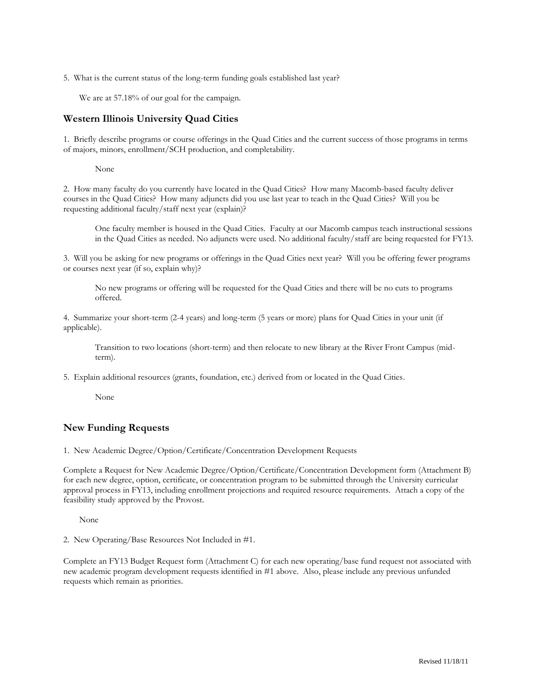5. What is the current status of the long-term funding goals established last year?

We are at 57.18% of our goal for the campaign.

## **Western Illinois University Quad Cities**

1. Briefly describe programs or course offerings in the Quad Cities and the current success of those programs in terms of majors, minors, enrollment/SCH production, and completability.

None

2. How many faculty do you currently have located in the Quad Cities? How many Macomb-based faculty deliver courses in the Quad Cities? How many adjuncts did you use last year to teach in the Quad Cities? Will you be requesting additional faculty/staff next year (explain)?

One faculty member is housed in the Quad Cities. Faculty at our Macomb campus teach instructional sessions in the Quad Cities as needed. No adjuncts were used. No additional faculty/staff are being requested for FY13.

3. Will you be asking for new programs or offerings in the Quad Cities next year? Will you be offering fewer programs or courses next year (if so, explain why)?

No new programs or offering will be requested for the Quad Cities and there will be no cuts to programs offered.

4. Summarize your short-term (2-4 years) and long-term (5 years or more) plans for Quad Cities in your unit (if applicable).

Transition to two locations (short-term) and then relocate to new library at the River Front Campus (midterm).

5. Explain additional resources (grants, foundation, etc.) derived from or located in the Quad Cities.

None

### **New Funding Requests**

1. New Academic Degree/Option/Certificate/Concentration Development Requests

Complete a Request for New Academic Degree/Option/Certificate/Concentration Development form (Attachment B) for each new degree, option, certificate, or concentration program to be submitted through the University curricular approval process in FY13, including enrollment projections and required resource requirements. Attach a copy of the feasibility study approved by the Provost.

None

2. New Operating/Base Resources Not Included in #1.

Complete an FY13 Budget Request form (Attachment C) for each new operating/base fund request not associated with new academic program development requests identified in #1 above. Also, please include any previous unfunded requests which remain as priorities.